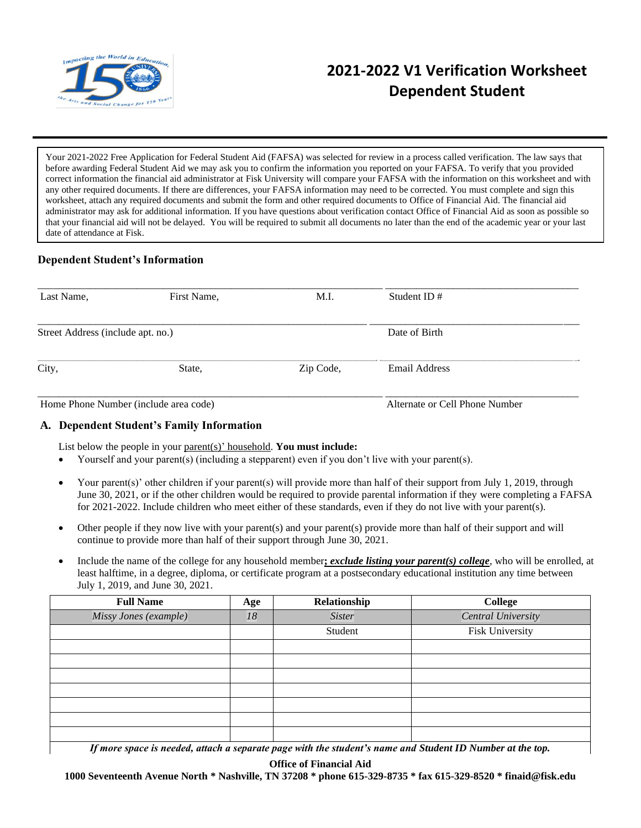

# **2021-2022 V1 Verification Worksheet Dependent Student**

Your 2021-2022 Free Application for Federal Student Aid (FAFSA) was selected for review in a process called verification. The law says that before awarding Federal Student Aid we may ask you to confirm the information you reported on your FAFSA. To verify that you provided correct information the financial aid administrator at Fisk University will compare your FAFSA with the information on this worksheet and with any other required documents. If there are differences, your FAFSA information may need to be corrected. You must complete and sign this worksheet, attach any required documents and submit the form and other required documents to Office of Financial Aid. The financial aid administrator may ask for additional information. If you have questions about verification contact Office of Financial Aid as soon as possible so that your financial aid will not be delayed. You will be required to submit all documents no later than the end of the academic year or your last date of attendance at Fisk.

# **Dependent Student's Information**

| Last Name,                            | First Name, | M.I.      | Student ID $#$                 |  |
|---------------------------------------|-------------|-----------|--------------------------------|--|
| Street Address (include apt. no.)     |             |           | Date of Birth                  |  |
| City,                                 | State,      | Zip Code, | Email Address                  |  |
| Home Phone Number (include area code) |             |           | Alternate or Cell Phone Number |  |

# **A. Dependent Student's Family Information**

List below the people in your parent(s)' household. **You must include:**

- Yourself and your parent(s) (including a stepparent) even if you don't live with your parent(s).
- Your parent(s)' other children if your parent(s) will provide more than half of their support from July 1, 2019, through June 30, 2021, or if the other children would be required to provide parental information if they were completing a FAFSA for 2021-2022. Include children who meet either of these standards, even if they do not live with your parent(s).
- Other people if they now live with your parent(s) and your parent(s) provide more than half of their support and will continue to provide more than half of their support through June 30, 2021.
- Include the name of the college for any household member**;** *exclude listing your parent(s) college*, who will be enrolled, at least halftime, in a degree, diploma, or certificate program at a postsecondary educational institution any time between July 1, 2019, and June 30, 2021.

| <b>Full Name</b>                                                                      | Age                                 | Relationship  | <b>College</b>                                                                                                              |
|---------------------------------------------------------------------------------------|-------------------------------------|---------------|-----------------------------------------------------------------------------------------------------------------------------|
| Missy Jones (example)                                                                 | 18                                  | <b>Sister</b> | <b>Central University</b>                                                                                                   |
|                                                                                       |                                     | Student       | Fisk University                                                                                                             |
|                                                                                       |                                     |               |                                                                                                                             |
|                                                                                       |                                     |               |                                                                                                                             |
|                                                                                       |                                     |               |                                                                                                                             |
|                                                                                       |                                     |               |                                                                                                                             |
|                                                                                       |                                     |               |                                                                                                                             |
|                                                                                       |                                     |               |                                                                                                                             |
|                                                                                       |                                     |               |                                                                                                                             |
| $\mathbf{r}$<br>$\bullet$ $\bullet$ $\bullet$ $\bullet$ $\bullet$ $\bullet$ $\bullet$ | the contract of the contract of the |               | $\mathbf{1} \times \mathbf{1}$ $\mathbf{1} \times \mathbf{1}$ $\mathbf{1} \times \mathbf{1}$ $\mathbf{1} \times \mathbf{1}$ |

If more space is needed, attach a separate page with the student's name and Student ID Number at the top.

**Office of Financial Aid**

**1000 Seventeenth Avenue North \* Nashville, TN 37208 \* phone 615-329-8735 \* fax 615-329-8520 \* finaid@fisk.edu**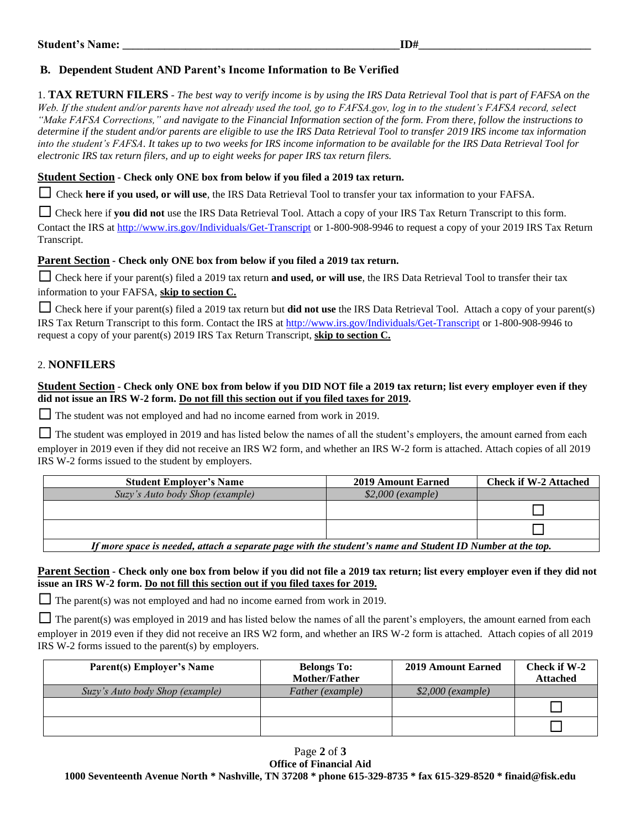# **B. Dependent Student AND Parent's Income Information to Be Verified**

1. **TAX RETURN FILERS** - *The best way to verify income is by using the IRS Data Retrieval Tool that is part of FAFSA on the Web. If the student and/or parents have not already used the tool, go to FAFSA.gov, log in to the student's FAFSA record, select "Make FAFSA Corrections," and navigate to the Financial Information section of the form. From there, follow the instructions to determine if the student and/or parents are eligible to use the IRS Data Retrieval Tool to transfer 2019 IRS income tax information*  into the student's FAFSA. It takes up to two weeks for IRS income information to be available for the IRS Data Retrieval Tool for *electronic IRS tax return filers, and up to eight weeks for paper IRS tax return filers.*

#### **Student Section - Check only ONE box from below if you filed a 2019 tax return.**

☐ Check **here if you used, or will use**, the IRS Data Retrieval Tool to transfer your tax information to your FAFSA.

□ Check here if you did not use the IRS Data Retrieval Tool. Attach a copy of your IRS Tax Return Transcript to this form. Contact the IRS at<http://www.irs.gov/Individuals/Get-Transcript> or 1-800-908-9946 to request a copy of your 2019 IRS Tax Return Transcript.

#### **Parent Section - Check only ONE box from below if you filed a 2019 tax return.**

□ Check here if your parent(s) filed a 2019 tax return **and used, or will use**, the IRS Data Retrieval Tool to transfer their tax information to your FAFSA, **skip to section C.**

☐ Check here if your parent(s) filed a 2019 tax return but **did not use** the IRS Data Retrieval Tool. Attach a copy of your parent(s) IRS Tax Return Transcript to this form. Contact the IRS at<http://www.irs.gov/Individuals/Get-Transcript> or 1-800-908-9946 to request a copy of your parent(s) 2019 IRS Tax Return Transcript, **skip to section C.**

# 2. **NONFILERS**

### **Student Section - Check only ONE box from below if you DID NOT file a 2019 tax return; list every employer even if they did not issue an IRS W-2 form. Do not fill this section out if you filed taxes for 2019.**

□ The student was not employed and had no income earned from work in 2019.

 $\Box$  The student was employed in 2019 and has listed below the names of all the student's employers, the amount earned from each employer in 2019 even if they did not receive an IRS W2 form, and whether an IRS W-2 form is attached. Attach copies of all 2019 IRS W-2 forms issued to the student by employers.

| <b>Student Employer's Name</b>                                                                            | <b>2019 Amount Earned</b> | <b>Check if W-2 Attached</b> |  |  |
|-----------------------------------------------------------------------------------------------------------|---------------------------|------------------------------|--|--|
| Suzy's Auto body Shop (example)                                                                           | $$2,000$ (example)        |                              |  |  |
|                                                                                                           |                           |                              |  |  |
|                                                                                                           |                           |                              |  |  |
| If mans angga is nooded, attach a conquesto noge with the studently nome and Ctudent ID Number of the top |                           |                              |  |  |

*If more space is needed, attach a separate page with the student's name and Student ID Number at the top.*

# **Parent Section - Check only one box from below if you did not file a 2019 tax return; list every employer even if they did not issue an IRS W-2 form. Do not fill this section out if you filed taxes for 2019.**

 $\Box$  The parent(s) was not employed and had no income earned from work in 2019.

 $\Box$  The parent(s) was employed in 2019 and has listed below the names of all the parent's employers, the amount earned from each employer in 2019 even if they did not receive an IRS W2 form, and whether an IRS W-2 form is attached. Attach copies of all 2019 IRS W-2 forms issued to the parent(s) by employers.

| <b>Parent(s) Employer's Name</b> | <b>Belongs To:</b><br>Mother/Father | <b>2019 Amount Earned</b> | Check if W-2<br><b>Attached</b> |
|----------------------------------|-------------------------------------|---------------------------|---------------------------------|
| Suzy's Auto body Shop (example)  | Father (example)                    | $$2,000$ (example)        |                                 |
|                                  |                                     |                           |                                 |
|                                  |                                     |                           |                                 |

Page **2** of **3 Office of Financial Aid 1000 Seventeenth Avenue North \* Nashville, TN 37208 \* phone 615-329-8735 \* fax 615-329-8520 \* finaid@fisk.edu**